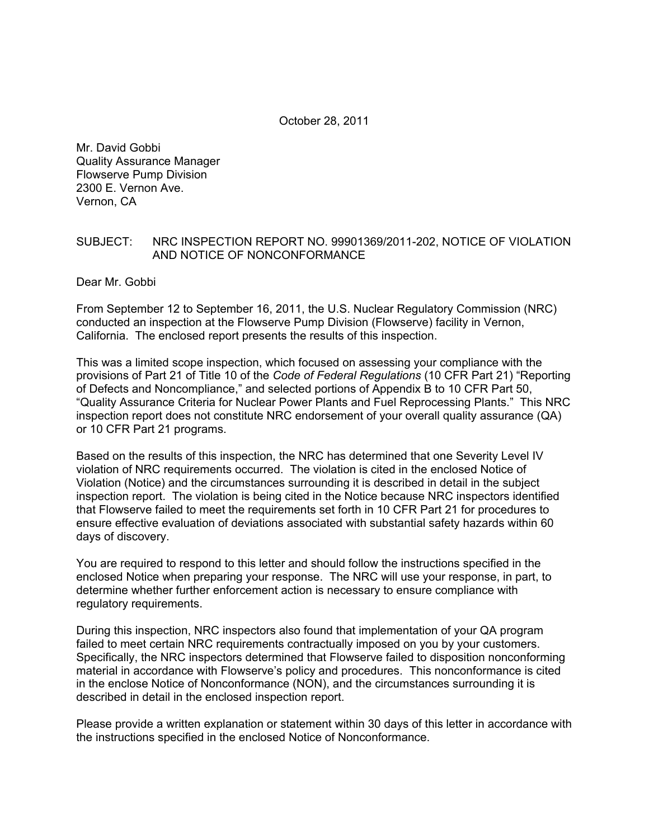October 28, 2011

Mr. David Gobbi Quality Assurance Manager Flowserve Pump Division 2300 E. Vernon Ave. Vernon, CA

#### SUBJECT: NRC INSPECTION REPORT NO. 99901369/2011-202, NOTICE OF VIOLATION AND NOTICE OF NONCONFORMANCE

Dear Mr. Gobbi

From September 12 to September 16, 2011, the U.S. Nuclear Regulatory Commission (NRC) conducted an inspection at the Flowserve Pump Division (Flowserve) facility in Vernon, California. The enclosed report presents the results of this inspection.

This was a limited scope inspection, which focused on assessing your compliance with the provisions of Part 21 of Title 10 of the *Code of Federal Regulations* (10 CFR Part 21) "Reporting of Defects and Noncompliance," and selected portions of Appendix B to 10 CFR Part 50, "Quality Assurance Criteria for Nuclear Power Plants and Fuel Reprocessing Plants." This NRC inspection report does not constitute NRC endorsement of your overall quality assurance (QA) or 10 CFR Part 21 programs.

Based on the results of this inspection, the NRC has determined that one Severity Level IV violation of NRC requirements occurred. The violation is cited in the enclosed Notice of Violation (Notice) and the circumstances surrounding it is described in detail in the subject inspection report. The violation is being cited in the Notice because NRC inspectors identified that Flowserve failed to meet the requirements set forth in 10 CFR Part 21 for procedures to ensure effective evaluation of deviations associated with substantial safety hazards within 60 days of discovery.

You are required to respond to this letter and should follow the instructions specified in the enclosed Notice when preparing your response. The NRC will use your response, in part, to determine whether further enforcement action is necessary to ensure compliance with regulatory requirements.

During this inspection, NRC inspectors also found that implementation of your QA program failed to meet certain NRC requirements contractually imposed on you by your customers. Specifically, the NRC inspectors determined that Flowserve failed to disposition nonconforming material in accordance with Flowserve's policy and procedures. This nonconformance is cited in the enclose Notice of Nonconformance (NON), and the circumstances surrounding it is described in detail in the enclosed inspection report.

Please provide a written explanation or statement within 30 days of this letter in accordance with the instructions specified in the enclosed Notice of Nonconformance.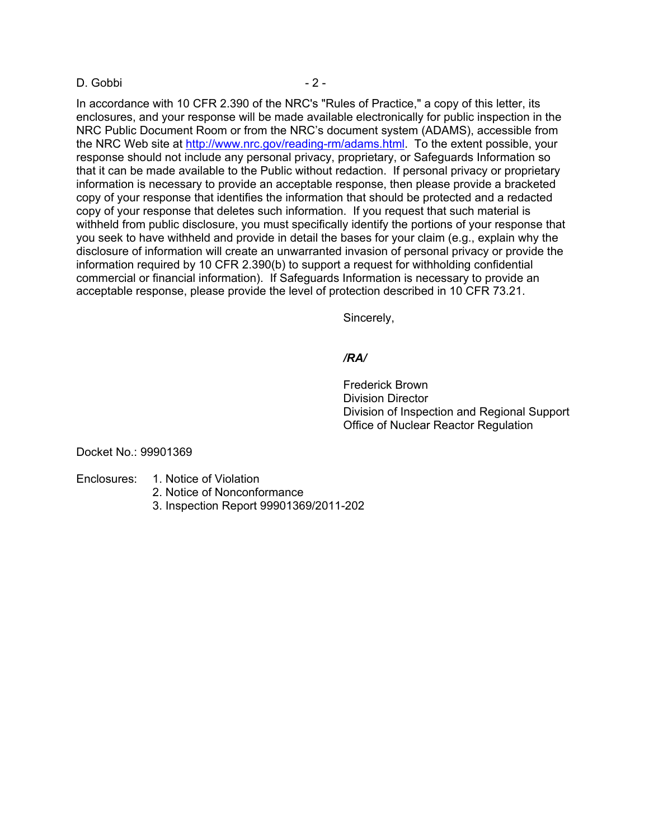#### D. Gobbi - 2 -

In accordance with 10 CFR 2.390 of the NRC's "Rules of Practice," a copy of this letter, its enclosures, and your response will be made available electronically for public inspection in the NRC Public Document Room or from the NRC's document system (ADAMS), accessible from the NRC Web site at http://www.nrc.gov/reading-rm/adams.html. To the extent possible, your response should not include any personal privacy, proprietary, or Safeguards Information so that it can be made available to the Public without redaction. If personal privacy or proprietary information is necessary to provide an acceptable response, then please provide a bracketed copy of your response that identifies the information that should be protected and a redacted copy of your response that deletes such information. If you request that such material is withheld from public disclosure, you must specifically identify the portions of your response that you seek to have withheld and provide in detail the bases for your claim (e.g., explain why the disclosure of information will create an unwarranted invasion of personal privacy or provide the information required by 10 CFR 2.390(b) to support a request for withholding confidential commercial or financial information). If Safeguards Information is necessary to provide an acceptable response, please provide the level of protection described in 10 CFR 73.21.

Sincerely,

# */RA/*

 Frederick Brown Division Director Division of Inspection and Regional Support Office of Nuclear Reactor Regulation

Docket No.: 99901369

- Enclosures: 1. Notice of Violation
	- 2. Notice of Nonconformance
	- 3. Inspection Report 99901369/2011-202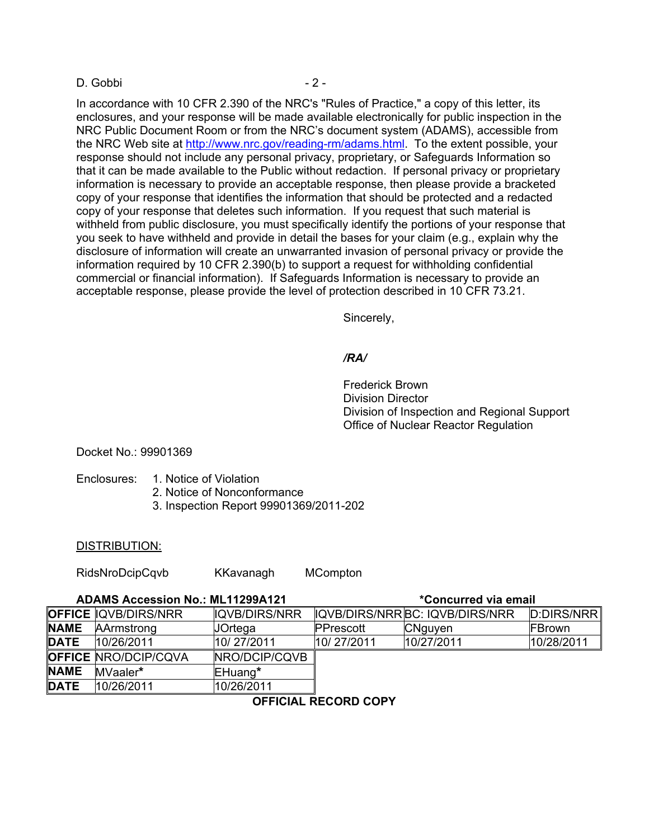#### D. Gobbi - 2 -

In accordance with 10 CFR 2.390 of the NRC's "Rules of Practice," a copy of this letter, its enclosures, and your response will be made available electronically for public inspection in the NRC Public Document Room or from the NRC's document system (ADAMS), accessible from the NRC Web site at http://www.nrc.gov/reading-rm/adams.html. To the extent possible, your response should not include any personal privacy, proprietary, or Safeguards Information so that it can be made available to the Public without redaction. If personal privacy or proprietary information is necessary to provide an acceptable response, then please provide a bracketed copy of your response that identifies the information that should be protected and a redacted copy of your response that deletes such information. If you request that such material is withheld from public disclosure, you must specifically identify the portions of your response that you seek to have withheld and provide in detail the bases for your claim (e.g., explain why the disclosure of information will create an unwarranted invasion of personal privacy or provide the information required by 10 CFR 2.390(b) to support a request for withholding confidential commercial or financial information). If Safeguards Information is necessary to provide an acceptable response, please provide the level of protection described in 10 CFR 73.21.

Sincerely,

# */RA/*

 Frederick Brown Division Director Division of Inspection and Regional Support Office of Nuclear Reactor Regulation

#### Docket No.: 99901369

- Enclosures: 1. Notice of Violation
	- 2. Notice of Nonconformance
	- 3. Inspection Report 99901369/2011-202

#### DISTRIBUTION:

RidsNroDcipCqvb KKavanagh MCompton

| <b>ADAMS Accession No.: ML11299A121</b> |                             |               | <i>*Concurred via email</i> |                                |            |  |  |
|-----------------------------------------|-----------------------------|---------------|-----------------------------|--------------------------------|------------|--|--|
|                                         | <b>OFFICE QVB/DIRS/NRR</b>  | IQVB/DIRS/NRR |                             | IQVB/DIRS/NRRBC: IQVB/DIRS/NRR | D:DIRS/NRR |  |  |
| <b>NAME</b>                             | AArmstrong                  | JOrtega       | PPrescott                   | <b>CNguyen</b>                 | FBrown     |  |  |
| DATE                                    | 10/26/2011                  | 10/27/2011    | 10/27/2011                  | 10/27/2011                     | 10/28/2011 |  |  |
|                                         | <b>OFFICE NRO/DCIP/CQVA</b> | NRO/DCIP/CQVB |                             |                                |            |  |  |
| <b>NAME</b>                             | MVaaler*                    | EHuang*       |                             |                                |            |  |  |
| <b>DATE</b>                             | 10/26/2011                  | 10/26/2011    |                             |                                |            |  |  |
| ACCIAIN DECADO CADV                     |                             |               |                             |                                |            |  |  |

**OFFICIAL RECORD COPY**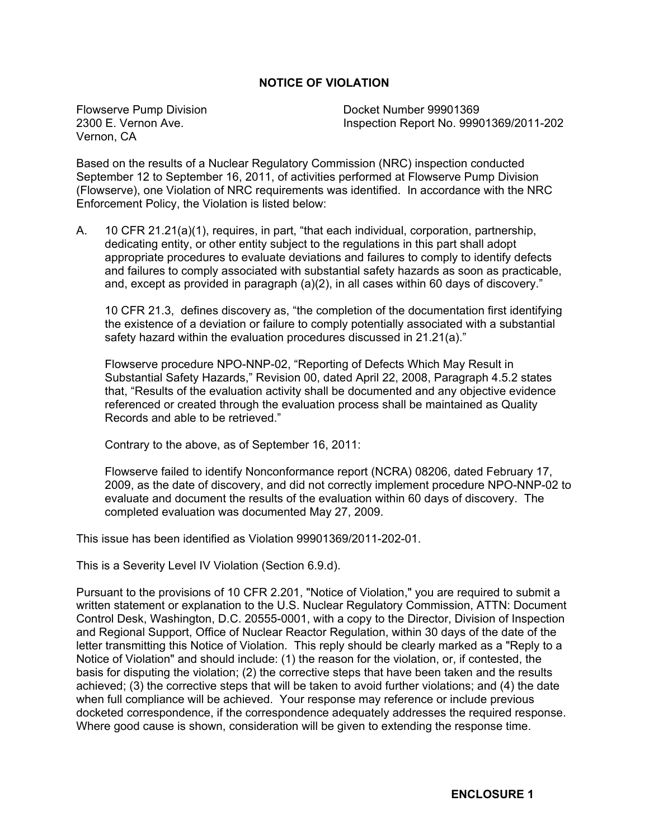# **NOTICE OF VIOLATION**

Flowserve Pump Division 2300 E. Vernon Ave. Vernon, CA

Docket Number 99901369 Inspection Report No. 99901369/2011-202

Based on the results of a Nuclear Regulatory Commission (NRC) inspection conducted September 12 to September 16, 2011, of activities performed at Flowserve Pump Division (Flowserve), one Violation of NRC requirements was identified. In accordance with the NRC Enforcement Policy, the Violation is listed below:

A. 10 CFR 21.21(a)(1), requires, in part, "that each individual, corporation, partnership, dedicating entity, or other entity subject to the regulations in this part shall adopt appropriate procedures to evaluate deviations and failures to comply to identify defects and failures to comply associated with substantial safety hazards as soon as practicable, and, except as provided in paragraph (a)(2), in all cases within 60 days of discovery."

10 CFR 21.3, defines discovery as, "the completion of the documentation first identifying the existence of a deviation or failure to comply potentially associated with a substantial safety hazard within the evaluation procedures discussed in 21.21(a)."

Flowserve procedure NPO-NNP-02, "Reporting of Defects Which May Result in Substantial Safety Hazards," Revision 00, dated April 22, 2008, Paragraph 4.5.2 states that, "Results of the evaluation activity shall be documented and any objective evidence referenced or created through the evaluation process shall be maintained as Quality Records and able to be retrieved."

Contrary to the above, as of September 16, 2011:

Flowserve failed to identify Nonconformance report (NCRA) 08206, dated February 17, 2009, as the date of discovery, and did not correctly implement procedure NPO-NNP-02 to evaluate and document the results of the evaluation within 60 days of discovery. The completed evaluation was documented May 27, 2009.

This issue has been identified as Violation 99901369/2011-202-01.

This is a Severity Level IV Violation (Section 6.9.d).

Pursuant to the provisions of 10 CFR 2.201, "Notice of Violation," you are required to submit a written statement or explanation to the U.S. Nuclear Regulatory Commission, ATTN: Document Control Desk, Washington, D.C. 20555-0001, with a copy to the Director, Division of Inspection and Regional Support, Office of Nuclear Reactor Regulation, within 30 days of the date of the letter transmitting this Notice of Violation. This reply should be clearly marked as a "Reply to a Notice of Violation" and should include: (1) the reason for the violation, or, if contested, the basis for disputing the violation; (2) the corrective steps that have been taken and the results achieved; (3) the corrective steps that will be taken to avoid further violations; and (4) the date when full compliance will be achieved. Your response may reference or include previous docketed correspondence, if the correspondence adequately addresses the required response. Where good cause is shown, consideration will be given to extending the response time.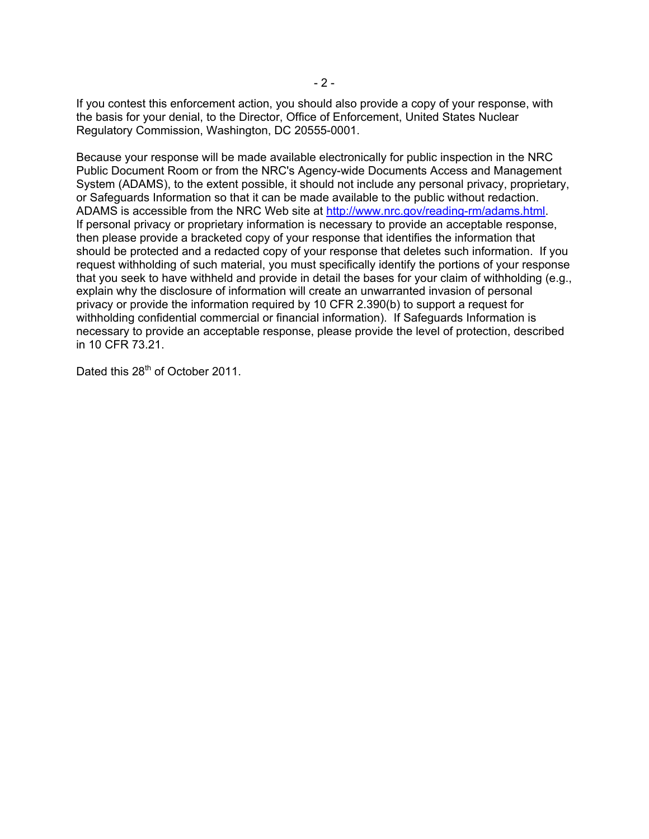If you contest this enforcement action, you should also provide a copy of your response, with the basis for your denial, to the Director, Office of Enforcement, United States Nuclear Regulatory Commission, Washington, DC 20555-0001.

Because your response will be made available electronically for public inspection in the NRC Public Document Room or from the NRC's Agency-wide Documents Access and Management System (ADAMS), to the extent possible, it should not include any personal privacy, proprietary, or Safeguards Information so that it can be made available to the public without redaction. ADAMS is accessible from the NRC Web site at http://www.nrc.gov/reading-rm/adams.html. If personal privacy or proprietary information is necessary to provide an acceptable response, then please provide a bracketed copy of your response that identifies the information that should be protected and a redacted copy of your response that deletes such information. If you request withholding of such material, you must specifically identify the portions of your response that you seek to have withheld and provide in detail the bases for your claim of withholding (e.g., explain why the disclosure of information will create an unwarranted invasion of personal privacy or provide the information required by 10 CFR 2.390(b) to support a request for withholding confidential commercial or financial information). If Safeguards Information is necessary to provide an acceptable response, please provide the level of protection, described in 10 CFR 73.21.

Dated this 28<sup>th</sup> of October 2011.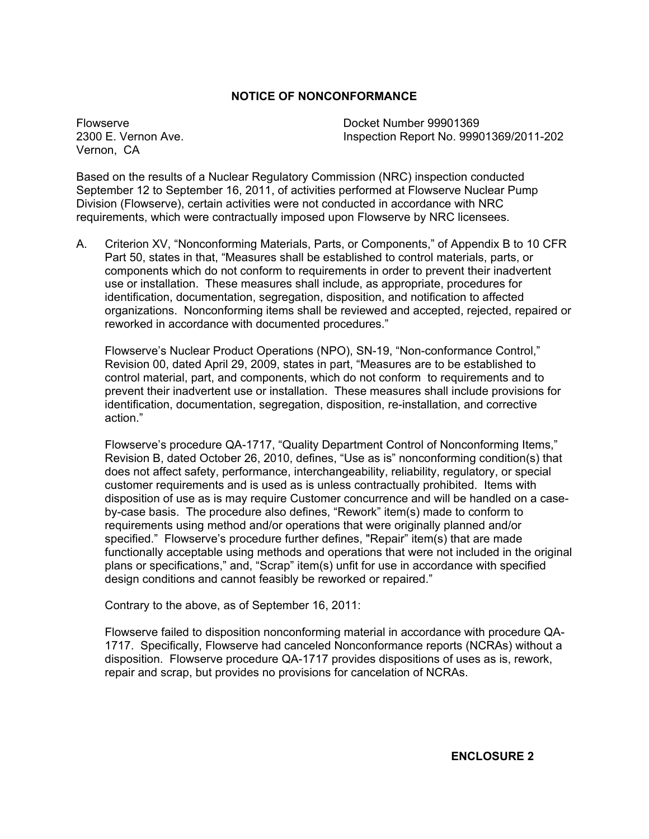# **NOTICE OF NONCONFORMANCE**

Flowserve 2300 E. Vernon Ave. Vernon, CA

Docket Number 99901369 Inspection Report No. 99901369/2011-202

Based on the results of a Nuclear Regulatory Commission (NRC) inspection conducted September 12 to September 16, 2011, of activities performed at Flowserve Nuclear Pump Division (Flowserve), certain activities were not conducted in accordance with NRC requirements, which were contractually imposed upon Flowserve by NRC licensees.

A. Criterion XV, "Nonconforming Materials, Parts, or Components," of Appendix B to 10 CFR Part 50, states in that, "Measures shall be established to control materials, parts, or components which do not conform to requirements in order to prevent their inadvertent use or installation. These measures shall include, as appropriate, procedures for identification, documentation, segregation, disposition, and notification to affected organizations. Nonconforming items shall be reviewed and accepted, rejected, repaired or reworked in accordance with documented procedures."

Flowserve's Nuclear Product Operations (NPO), SN-19, "Non-conformance Control," Revision 00, dated April 29, 2009, states in part, "Measures are to be established to control material, part, and components, which do not conform to requirements and to prevent their inadvertent use or installation. These measures shall include provisions for identification, documentation, segregation, disposition, re-installation, and corrective action."

Flowserve's procedure QA-1717, "Quality Department Control of Nonconforming Items," Revision B, dated October 26, 2010, defines, "Use as is" nonconforming condition(s) that does not affect safety, performance, interchangeability, reliability, regulatory, or special customer requirements and is used as is unless contractually prohibited. Items with disposition of use as is may require Customer concurrence and will be handled on a caseby-case basis. The procedure also defines, "Rework" item(s) made to conform to requirements using method and/or operations that were originally planned and/or specified." Flowserve's procedure further defines, "Repair" item(s) that are made functionally acceptable using methods and operations that were not included in the original plans or specifications," and, "Scrap" item(s) unfit for use in accordance with specified design conditions and cannot feasibly be reworked or repaired."

Contrary to the above, as of September 16, 2011:

Flowserve failed to disposition nonconforming material in accordance with procedure QA-1717. Specifically, Flowserve had canceled Nonconformance reports (NCRAs) without a disposition. Flowserve procedure QA-1717 provides dispositions of uses as is, rework, repair and scrap, but provides no provisions for cancelation of NCRAs.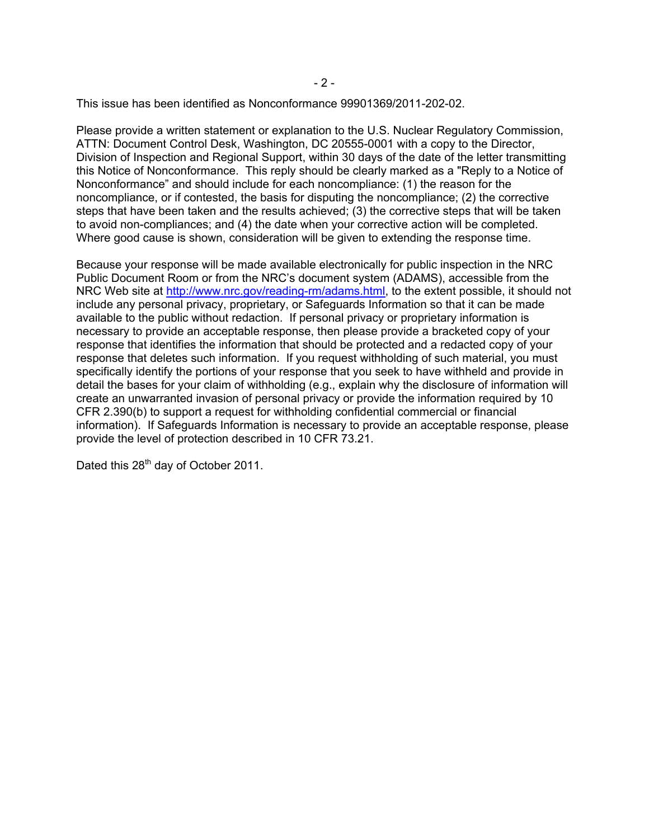This issue has been identified as Nonconformance 99901369/2011-202-02.

Please provide a written statement or explanation to the U.S. Nuclear Regulatory Commission, ATTN: Document Control Desk, Washington, DC 20555-0001 with a copy to the Director, Division of Inspection and Regional Support, within 30 days of the date of the letter transmitting this Notice of Nonconformance. This reply should be clearly marked as a "Reply to a Notice of Nonconformance" and should include for each noncompliance: (1) the reason for the noncompliance, or if contested, the basis for disputing the noncompliance; (2) the corrective steps that have been taken and the results achieved; (3) the corrective steps that will be taken to avoid non-compliances; and (4) the date when your corrective action will be completed. Where good cause is shown, consideration will be given to extending the response time.

Because your response will be made available electronically for public inspection in the NRC Public Document Room or from the NRC's document system (ADAMS), accessible from the NRC Web site at http://www.nrc.gov/reading-rm/adams.html, to the extent possible, it should not include any personal privacy, proprietary, or Safeguards Information so that it can be made available to the public without redaction. If personal privacy or proprietary information is necessary to provide an acceptable response, then please provide a bracketed copy of your response that identifies the information that should be protected and a redacted copy of your response that deletes such information. If you request withholding of such material, you must specifically identify the portions of your response that you seek to have withheld and provide in detail the bases for your claim of withholding (e.g., explain why the disclosure of information will create an unwarranted invasion of personal privacy or provide the information required by 10 CFR 2.390(b) to support a request for withholding confidential commercial or financial information). If Safeguards Information is necessary to provide an acceptable response, please provide the level of protection described in 10 CFR 73.21.

Dated this 28<sup>th</sup> day of October 2011.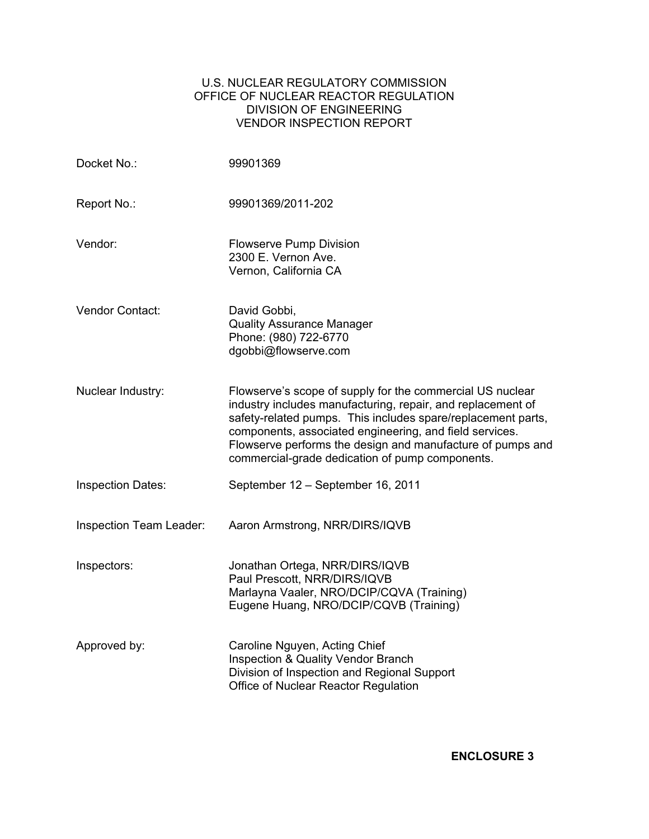# U.S. NUCLEAR REGULATORY COMMISSION OFFICE OF NUCLEAR REACTOR REGULATION DIVISION OF ENGINEERING VENDOR INSPECTION REPORT

| Docket No.:              | 99901369                                                                                                                                                                                                                                                                                                                                                             |
|--------------------------|----------------------------------------------------------------------------------------------------------------------------------------------------------------------------------------------------------------------------------------------------------------------------------------------------------------------------------------------------------------------|
| Report No.:              | 99901369/2011-202                                                                                                                                                                                                                                                                                                                                                    |
| Vendor:                  | <b>Flowserve Pump Division</b><br>2300 E. Vernon Ave.<br>Vernon, California CA                                                                                                                                                                                                                                                                                       |
| Vendor Contact:          | David Gobbi,<br><b>Quality Assurance Manager</b><br>Phone: (980) 722-6770<br>dgobbi@flowserve.com                                                                                                                                                                                                                                                                    |
| Nuclear Industry:        | Flowserve's scope of supply for the commercial US nuclear<br>industry includes manufacturing, repair, and replacement of<br>safety-related pumps. This includes spare/replacement parts,<br>components, associated engineering, and field services.<br>Flowserve performs the design and manufacture of pumps and<br>commercial-grade dedication of pump components. |
| <b>Inspection Dates:</b> | September 12 - September 16, 2011                                                                                                                                                                                                                                                                                                                                    |
| Inspection Team Leader:  | Aaron Armstrong, NRR/DIRS/IQVB                                                                                                                                                                                                                                                                                                                                       |
| Inspectors:              | Jonathan Ortega, NRR/DIRS/IQVB<br>Paul Prescott, NRR/DIRS/IQVB<br>Marlayna Vaaler, NRO/DCIP/CQVA (Training)<br>Eugene Huang, NRO/DCIP/CQVB (Training)                                                                                                                                                                                                                |
| Approved by:             | Caroline Nguyen, Acting Chief<br>Inspection & Quality Vendor Branch<br>Division of Inspection and Regional Support<br>Office of Nuclear Reactor Regulation                                                                                                                                                                                                           |

**ENCLOSURE 3**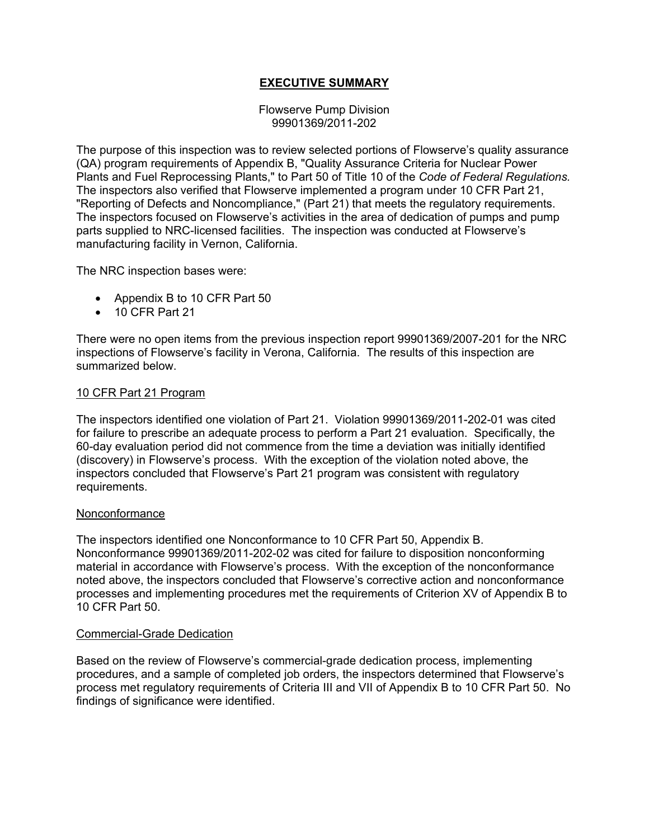# **EXECUTIVE SUMMARY**

Flowserve Pump Division 99901369/2011-202

The purpose of this inspection was to review selected portions of Flowserve's quality assurance (QA) program requirements of Appendix B, "Quality Assurance Criteria for Nuclear Power Plants and Fuel Reprocessing Plants," to Part 50 of Title 10 of the *Code of Federal Regulations.* The inspectors also verified that Flowserve implemented a program under 10 CFR Part 21, "Reporting of Defects and Noncompliance," (Part 21) that meets the regulatory requirements. The inspectors focused on Flowserve's activities in the area of dedication of pumps and pump parts supplied to NRC-licensed facilities. The inspection was conducted at Flowserve's manufacturing facility in Vernon, California.

The NRC inspection bases were:

- Appendix B to 10 CFR Part 50
- 10 CFR Part 21

There were no open items from the previous inspection report 99901369/2007-201 for the NRC inspections of Flowserve's facility in Verona, California. The results of this inspection are summarized below.

#### 10 CFR Part 21 Program

The inspectors identified one violation of Part 21. Violation 99901369/2011-202-01 was cited for failure to prescribe an adequate process to perform a Part 21 evaluation. Specifically, the 60-day evaluation period did not commence from the time a deviation was initially identified (discovery) in Flowserve's process. With the exception of the violation noted above, the inspectors concluded that Flowserve's Part 21 program was consistent with regulatory requirements.

#### Nonconformance

The inspectors identified one Nonconformance to 10 CFR Part 50, Appendix B. Nonconformance 99901369/2011-202-02 was cited for failure to disposition nonconforming material in accordance with Flowserve's process. With the exception of the nonconformance noted above, the inspectors concluded that Flowserve's corrective action and nonconformance processes and implementing procedures met the requirements of Criterion XV of Appendix B to 10 CFR Part 50.

#### Commercial-Grade Dedication

Based on the review of Flowserve's commercial-grade dedication process, implementing procedures, and a sample of completed job orders, the inspectors determined that Flowserve's process met regulatory requirements of Criteria III and VII of Appendix B to 10 CFR Part 50. No findings of significance were identified.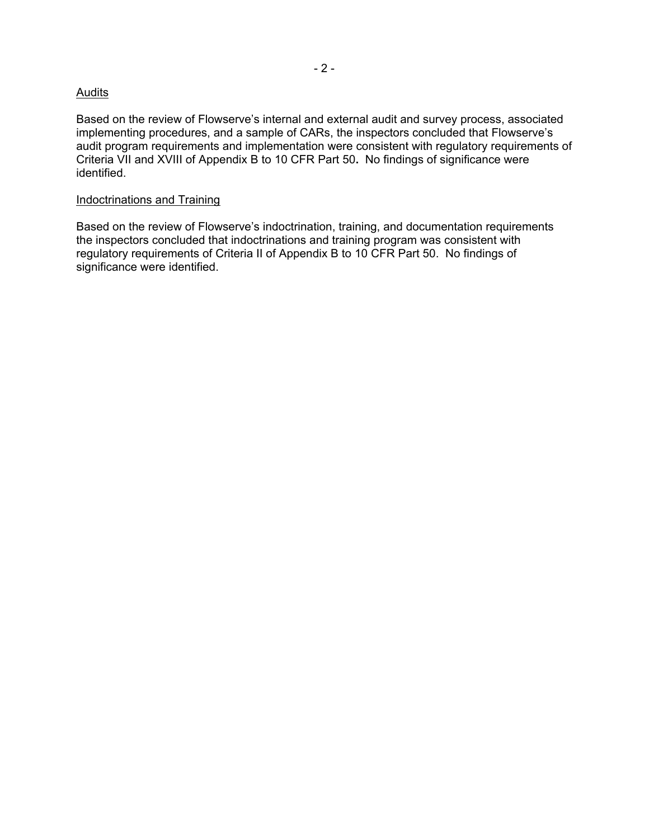# **Audits**

Based on the review of Flowserve's internal and external audit and survey process, associated implementing procedures, and a sample of CARs, the inspectors concluded that Flowserve's audit program requirements and implementation were consistent with regulatory requirements of Criteria VII and XVIII of Appendix B to 10 CFR Part 50**.** No findings of significance were identified.

#### Indoctrinations and Training

Based on the review of Flowserve's indoctrination, training, and documentation requirements the inspectors concluded that indoctrinations and training program was consistent with regulatory requirements of Criteria II of Appendix B to 10 CFR Part 50. No findings of significance were identified.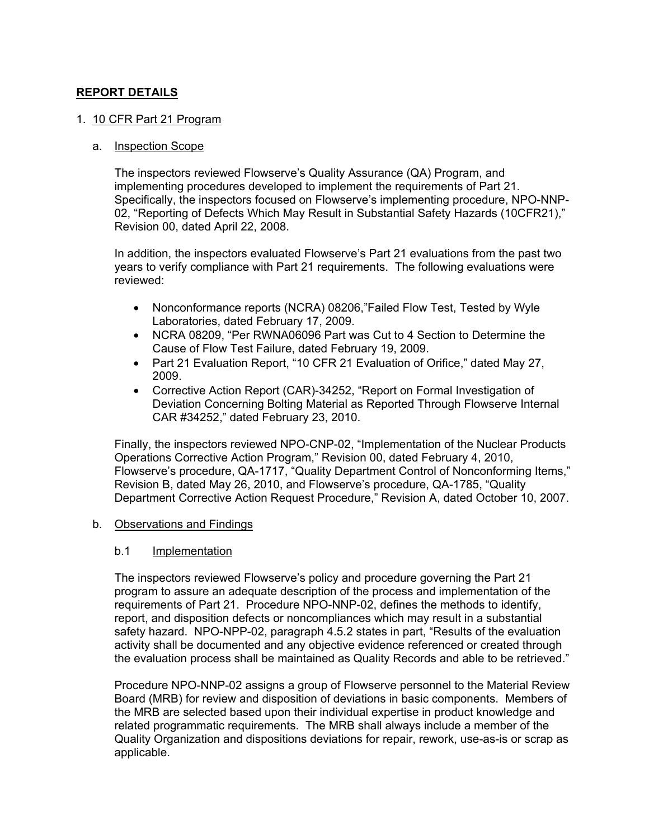# **REPORT DETAILS**

#### 1. 10 CFR Part 21 Program

#### a. Inspection Scope

The inspectors reviewed Flowserve's Quality Assurance (QA) Program, and implementing procedures developed to implement the requirements of Part 21. Specifically, the inspectors focused on Flowserve's implementing procedure, NPO-NNP-02, "Reporting of Defects Which May Result in Substantial Safety Hazards (10CFR21)," Revision 00, dated April 22, 2008.

In addition, the inspectors evaluated Flowserve's Part 21 evaluations from the past two years to verify compliance with Part 21 requirements. The following evaluations were reviewed:

- Nonconformance reports (NCRA) 08206,"Failed Flow Test, Tested by Wyle Laboratories, dated February 17, 2009.
- NCRA 08209, "Per RWNA06096 Part was Cut to 4 Section to Determine the Cause of Flow Test Failure, dated February 19, 2009.
- Part 21 Evaluation Report, "10 CFR 21 Evaluation of Orifice," dated May 27, 2009.
- Corrective Action Report (CAR)-34252, "Report on Formal Investigation of Deviation Concerning Bolting Material as Reported Through Flowserve Internal CAR #34252," dated February 23, 2010.

Finally, the inspectors reviewed NPO-CNP-02, "Implementation of the Nuclear Products Operations Corrective Action Program," Revision 00, dated February 4, 2010, Flowserve's procedure, QA-1717, "Quality Department Control of Nonconforming Items," Revision B, dated May 26, 2010, and Flowserve's procedure, QA-1785, "Quality Department Corrective Action Request Procedure," Revision A, dated October 10, 2007.

#### b. Observations and Findings

#### b.1 Implementation

The inspectors reviewed Flowserve's policy and procedure governing the Part 21 program to assure an adequate description of the process and implementation of the requirements of Part 21. Procedure NPO-NNP-02, defines the methods to identify, report, and disposition defects or noncompliances which may result in a substantial safety hazard. NPO-NPP-02, paragraph 4.5.2 states in part, "Results of the evaluation activity shall be documented and any objective evidence referenced or created through the evaluation process shall be maintained as Quality Records and able to be retrieved."

Procedure NPO-NNP-02 assigns a group of Flowserve personnel to the Material Review Board (MRB) for review and disposition of deviations in basic components. Members of the MRB are selected based upon their individual expertise in product knowledge and related programmatic requirements. The MRB shall always include a member of the Quality Organization and dispositions deviations for repair, rework, use-as-is or scrap as applicable.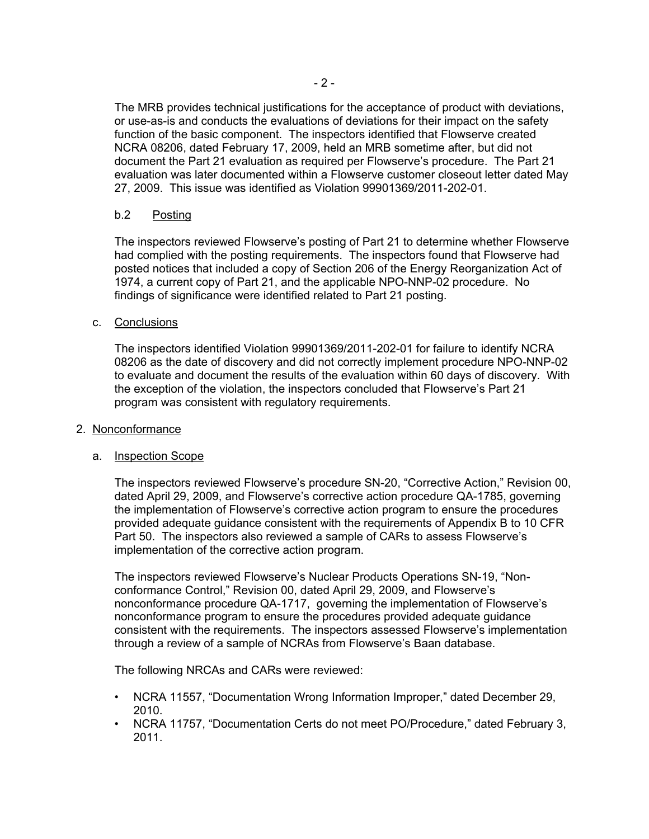The MRB provides technical justifications for the acceptance of product with deviations, or use-as-is and conducts the evaluations of deviations for their impact on the safety function of the basic component. The inspectors identified that Flowserve created NCRA 08206, dated February 17, 2009, held an MRB sometime after, but did not document the Part 21 evaluation as required per Flowserve's procedure. The Part 21 evaluation was later documented within a Flowserve customer closeout letter dated May 27, 2009. This issue was identified as Violation 99901369/2011-202-01.

# b.2 Posting

The inspectors reviewed Flowserve's posting of Part 21 to determine whether Flowserve had complied with the posting requirements. The inspectors found that Flowserve had posted notices that included a copy of Section 206 of the Energy Reorganization Act of 1974, a current copy of Part 21, and the applicable NPO-NNP-02 procedure. No findings of significance were identified related to Part 21 posting.

# c. Conclusions

The inspectors identified Violation 99901369/2011-202-01 for failure to identify NCRA 08206 as the date of discovery and did not correctly implement procedure NPO-NNP-02 to evaluate and document the results of the evaluation within 60 days of discovery. With the exception of the violation, the inspectors concluded that Flowserve's Part 21 program was consistent with regulatory requirements.

#### 2. Nonconformance

#### a. Inspection Scope

The inspectors reviewed Flowserve's procedure SN-20, "Corrective Action," Revision 00, dated April 29, 2009, and Flowserve's corrective action procedure QA-1785, governing the implementation of Flowserve's corrective action program to ensure the procedures provided adequate guidance consistent with the requirements of Appendix B to 10 CFR Part 50. The inspectors also reviewed a sample of CARs to assess Flowserve's implementation of the corrective action program.

The inspectors reviewed Flowserve's Nuclear Products Operations SN-19, "Nonconformance Control," Revision 00, dated April 29, 2009, and Flowserve's nonconformance procedure QA-1717, governing the implementation of Flowserve's nonconformance program to ensure the procedures provided adequate guidance consistent with the requirements. The inspectors assessed Flowserve's implementation through a review of a sample of NCRAs from Flowserve's Baan database.

The following NRCAs and CARs were reviewed:

- NCRA 11557, "Documentation Wrong Information Improper," dated December 29, 2010.
- NCRA 11757, "Documentation Certs do not meet PO/Procedure," dated February 3, 2011.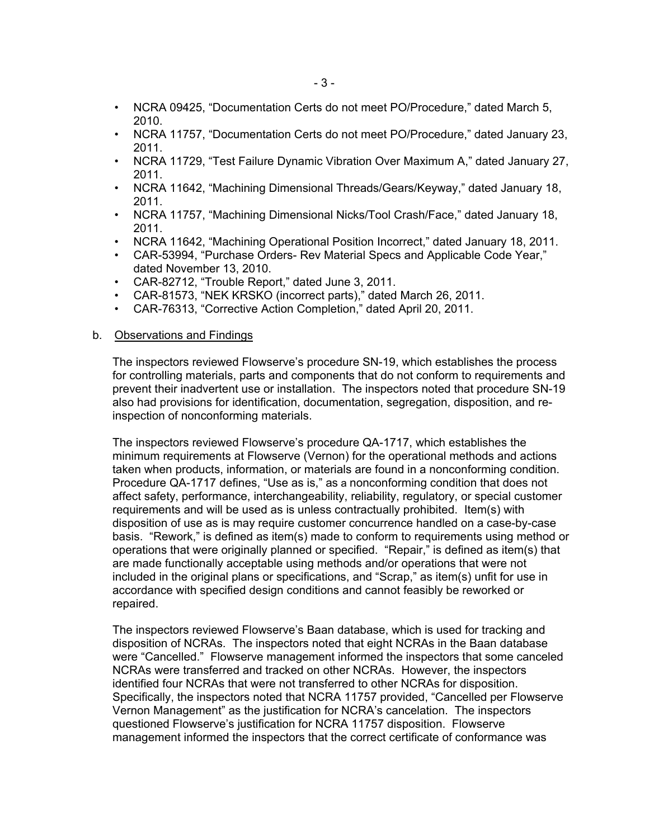- NCRA 09425, "Documentation Certs do not meet PO/Procedure," dated March 5, 2010.
- NCRA 11757, "Documentation Certs do not meet PO/Procedure," dated January 23, 2011.
- NCRA 11729, "Test Failure Dynamic Vibration Over Maximum A," dated January 27, 2011.
- NCRA 11642, "Machining Dimensional Threads/Gears/Keyway," dated January 18, 2011.
- NCRA 11757, "Machining Dimensional Nicks/Tool Crash/Face," dated January 18, 2011.
- NCRA 11642, "Machining Operational Position Incorrect," dated January 18, 2011.
- CAR-53994, "Purchase Orders- Rev Material Specs and Applicable Code Year," dated November 13, 2010.
- CAR-82712, "Trouble Report," dated June 3, 2011.
- CAR-81573, "NEK KRSKO (incorrect parts)," dated March 26, 2011.
- CAR-76313, "Corrective Action Completion," dated April 20, 2011.

#### b. Observations and Findings

The inspectors reviewed Flowserve's procedure SN-19, which establishes the process for controlling materials, parts and components that do not conform to requirements and prevent their inadvertent use or installation. The inspectors noted that procedure SN-19 also had provisions for identification, documentation, segregation, disposition, and reinspection of nonconforming materials.

The inspectors reviewed Flowserve's procedure QA-1717, which establishes the minimum requirements at Flowserve (Vernon) for the operational methods and actions taken when products, information, or materials are found in a nonconforming condition. Procedure QA-1717 defines, "Use as is," as a nonconforming condition that does not affect safety, performance, interchangeability, reliability, regulatory, or special customer requirements and will be used as is unless contractually prohibited. Item(s) with disposition of use as is may require customer concurrence handled on a case-by-case basis. "Rework," is defined as item(s) made to conform to requirements using method or operations that were originally planned or specified. "Repair," is defined as item(s) that are made functionally acceptable using methods and/or operations that were not included in the original plans or specifications, and "Scrap," as item(s) unfit for use in accordance with specified design conditions and cannot feasibly be reworked or repaired.

The inspectors reviewed Flowserve's Baan database, which is used for tracking and disposition of NCRAs. The inspectors noted that eight NCRAs in the Baan database were "Cancelled." Flowserve management informed the inspectors that some canceled NCRAs were transferred and tracked on other NCRAs. However, the inspectors identified four NCRAs that were not transferred to other NCRAs for disposition. Specifically, the inspectors noted that NCRA 11757 provided, "Cancelled per Flowserve Vernon Management" as the justification for NCRA's cancelation. The inspectors questioned Flowserve's justification for NCRA 11757 disposition. Flowserve management informed the inspectors that the correct certificate of conformance was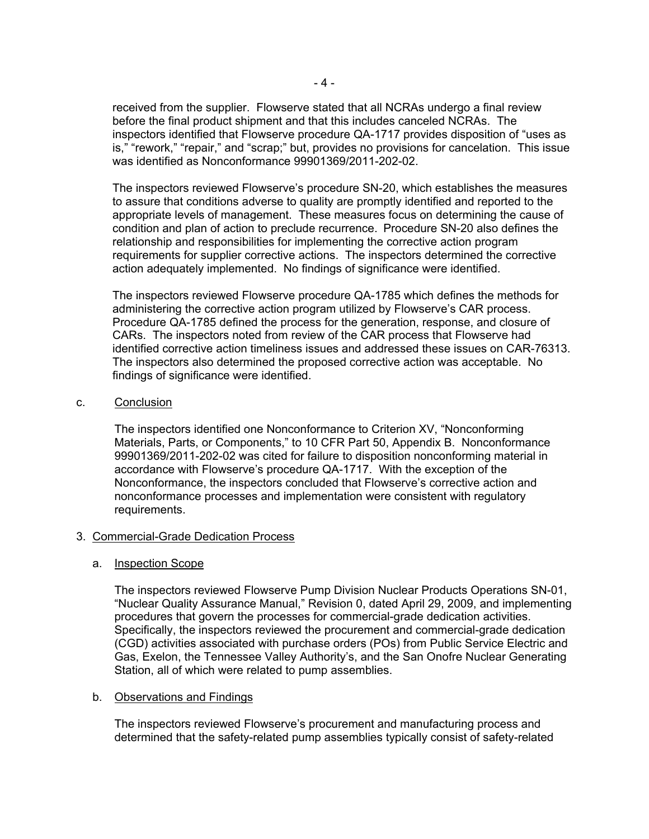received from the supplier. Flowserve stated that all NCRAs undergo a final review before the final product shipment and that this includes canceled NCRAs. The inspectors identified that Flowserve procedure QA-1717 provides disposition of "uses as is," "rework," "repair," and "scrap;" but, provides no provisions for cancelation. This issue was identified as Nonconformance 99901369/2011-202-02.

The inspectors reviewed Flowserve's procedure SN-20, which establishes the measures to assure that conditions adverse to quality are promptly identified and reported to the appropriate levels of management. These measures focus on determining the cause of condition and plan of action to preclude recurrence. Procedure SN-20 also defines the relationship and responsibilities for implementing the corrective action program requirements for supplier corrective actions. The inspectors determined the corrective action adequately implemented. No findings of significance were identified.

The inspectors reviewed Flowserve procedure QA-1785 which defines the methods for administering the corrective action program utilized by Flowserve's CAR process. Procedure QA-1785 defined the process for the generation, response, and closure of CARs. The inspectors noted from review of the CAR process that Flowserve had identified corrective action timeliness issues and addressed these issues on CAR-76313. The inspectors also determined the proposed corrective action was acceptable. No findings of significance were identified.

#### c. Conclusion

The inspectors identified one Nonconformance to Criterion XV, "Nonconforming Materials, Parts, or Components," to 10 CFR Part 50, Appendix B. Nonconformance 99901369/2011-202-02 was cited for failure to disposition nonconforming material in accordance with Flowserve's procedure QA-1717. With the exception of the Nonconformance, the inspectors concluded that Flowserve's corrective action and nonconformance processes and implementation were consistent with regulatory requirements.

#### 3. Commercial-Grade Dedication Process

#### a. Inspection Scope

The inspectors reviewed Flowserve Pump Division Nuclear Products Operations SN-01, "Nuclear Quality Assurance Manual," Revision 0, dated April 29, 2009, and implementing procedures that govern the processes for commercial-grade dedication activities. Specifically, the inspectors reviewed the procurement and commercial-grade dedication (CGD) activities associated with purchase orders (POs) from Public Service Electric and Gas, Exelon, the Tennessee Valley Authority's, and the San Onofre Nuclear Generating Station, all of which were related to pump assemblies.

#### b. Observations and Findings

The inspectors reviewed Flowserve's procurement and manufacturing process and determined that the safety-related pump assemblies typically consist of safety-related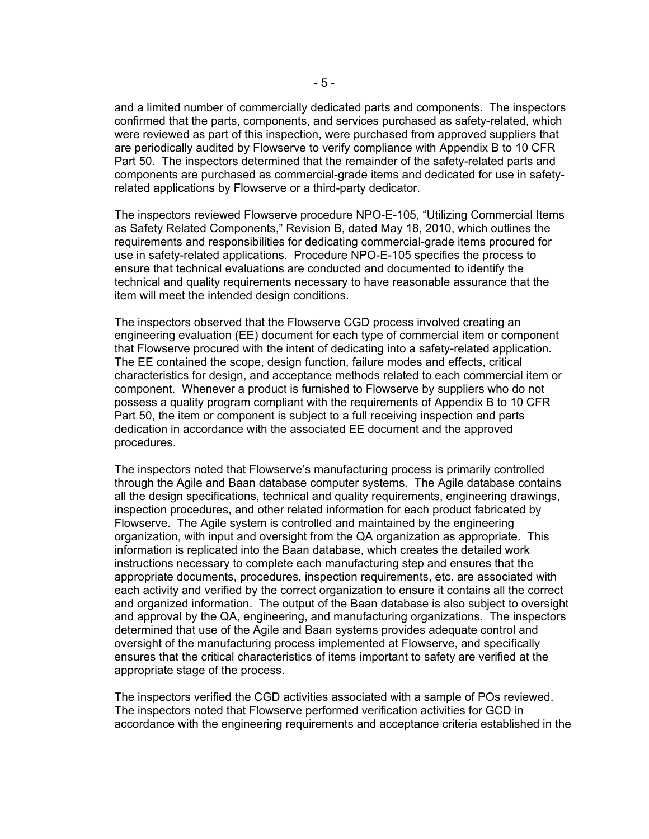and a limited number of commercially dedicated parts and components. The inspectors confirmed that the parts, components, and services purchased as safety-related, which were reviewed as part of this inspection, were purchased from approved suppliers that are periodically audited by Flowserve to verify compliance with Appendix B to 10 CFR Part 50. The inspectors determined that the remainder of the safety-related parts and components are purchased as commercial-grade items and dedicated for use in safetyrelated applications by Flowserve or a third-party dedicator.

The inspectors reviewed Flowserve procedure NPO-E-105, "Utilizing Commercial Items as Safety Related Components," Revision B, dated May 18, 2010, which outlines the requirements and responsibilities for dedicating commercial-grade items procured for use in safety-related applications. Procedure NPO-E-105 specifies the process to ensure that technical evaluations are conducted and documented to identify the technical and quality requirements necessary to have reasonable assurance that the item will meet the intended design conditions.

The inspectors observed that the Flowserve CGD process involved creating an engineering evaluation (EE) document for each type of commercial item or component that Flowserve procured with the intent of dedicating into a safety-related application. The EE contained the scope, design function, failure modes and effects, critical characteristics for design, and acceptance methods related to each commercial item or component. Whenever a product is furnished to Flowserve by suppliers who do not possess a quality program compliant with the requirements of Appendix B to 10 CFR Part 50, the item or component is subject to a full receiving inspection and parts dedication in accordance with the associated EE document and the approved procedures.

The inspectors noted that Flowserve's manufacturing process is primarily controlled through the Agile and Baan database computer systems. The Agile database contains all the design specifications, technical and quality requirements, engineering drawings, inspection procedures, and other related information for each product fabricated by Flowserve. The Agile system is controlled and maintained by the engineering organization, with input and oversight from the QA organization as appropriate. This information is replicated into the Baan database, which creates the detailed work instructions necessary to complete each manufacturing step and ensures that the appropriate documents, procedures, inspection requirements, etc. are associated with each activity and verified by the correct organization to ensure it contains all the correct and organized information. The output of the Baan database is also subject to oversight and approval by the QA, engineering, and manufacturing organizations. The inspectors determined that use of the Agile and Baan systems provides adequate control and oversight of the manufacturing process implemented at Flowserve, and specifically ensures that the critical characteristics of items important to safety are verified at the appropriate stage of the process.

The inspectors verified the CGD activities associated with a sample of POs reviewed. The inspectors noted that Flowserve performed verification activities for GCD in accordance with the engineering requirements and acceptance criteria established in the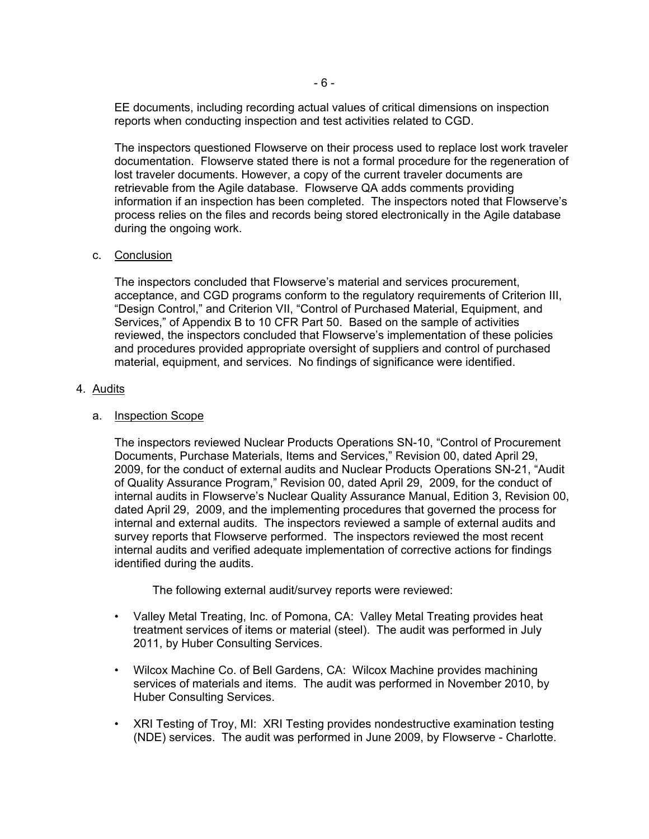EE documents, including recording actual values of critical dimensions on inspection reports when conducting inspection and test activities related to CGD.

The inspectors questioned Flowserve on their process used to replace lost work traveler documentation. Flowserve stated there is not a formal procedure for the regeneration of lost traveler documents. However, a copy of the current traveler documents are retrievable from the Agile database. Flowserve QA adds comments providing information if an inspection has been completed. The inspectors noted that Flowserve's process relies on the files and records being stored electronically in the Agile database during the ongoing work.

#### c. Conclusion

The inspectors concluded that Flowserve's material and services procurement, acceptance, and CGD programs conform to the regulatory requirements of Criterion III, "Design Control," and Criterion VII, "Control of Purchased Material, Equipment, and Services," of Appendix B to 10 CFR Part 50. Based on the sample of activities reviewed, the inspectors concluded that Flowserve's implementation of these policies and procedures provided appropriate oversight of suppliers and control of purchased material, equipment, and services. No findings of significance were identified.

#### 4. Audits

#### a. Inspection Scope

The inspectors reviewed Nuclear Products Operations SN-10, "Control of Procurement Documents, Purchase Materials, Items and Services," Revision 00, dated April 29, 2009, for the conduct of external audits and Nuclear Products Operations SN-21, "Audit of Quality Assurance Program," Revision 00, dated April 29, 2009, for the conduct of internal audits in Flowserve's Nuclear Quality Assurance Manual, Edition 3, Revision 00, dated April 29, 2009, and the implementing procedures that governed the process for internal and external audits. The inspectors reviewed a sample of external audits and survey reports that Flowserve performed. The inspectors reviewed the most recent internal audits and verified adequate implementation of corrective actions for findings identified during the audits.

The following external audit/survey reports were reviewed:

- Valley Metal Treating, Inc. of Pomona, CA: Valley Metal Treating provides heat treatment services of items or material (steel). The audit was performed in July 2011, by Huber Consulting Services.
- Wilcox Machine Co. of Bell Gardens, CA: Wilcox Machine provides machining services of materials and items. The audit was performed in November 2010, by Huber Consulting Services.
- XRI Testing of Troy, MI: XRI Testing provides nondestructive examination testing (NDE) services. The audit was performed in June 2009, by Flowserve - Charlotte.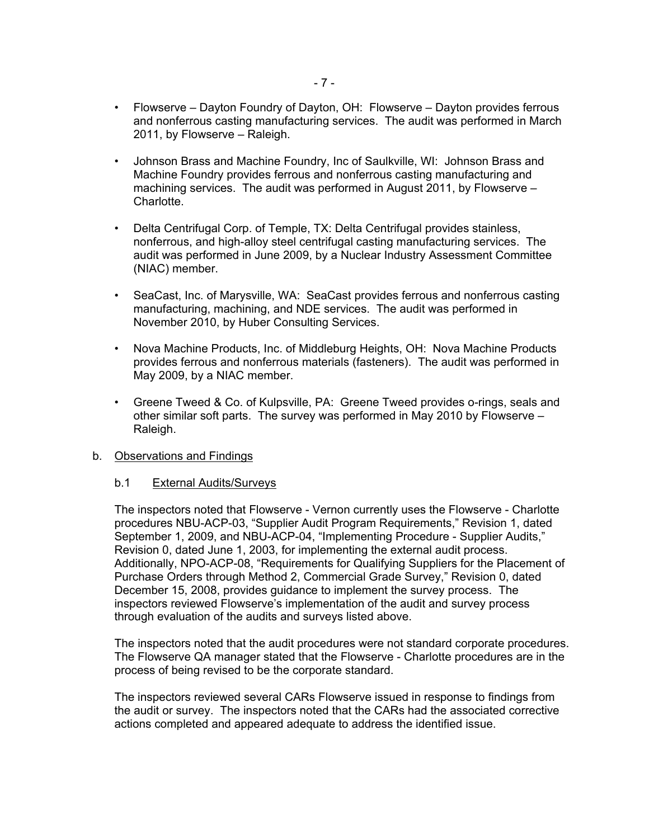- Flowserve Dayton Foundry of Dayton, OH: Flowserve Dayton provides ferrous and nonferrous casting manufacturing services. The audit was performed in March 2011, by Flowserve – Raleigh.
- Johnson Brass and Machine Foundry, Inc of Saulkville, WI: Johnson Brass and Machine Foundry provides ferrous and nonferrous casting manufacturing and machining services. The audit was performed in August 2011, by Flowserve – Charlotte.
- Delta Centrifugal Corp. of Temple, TX: Delta Centrifugal provides stainless, nonferrous, and high-alloy steel centrifugal casting manufacturing services. The audit was performed in June 2009, by a Nuclear Industry Assessment Committee (NIAC) member.
- SeaCast, Inc. of Marysville, WA: SeaCast provides ferrous and nonferrous casting manufacturing, machining, and NDE services. The audit was performed in November 2010, by Huber Consulting Services.
- Nova Machine Products, Inc. of Middleburg Heights, OH: Nova Machine Products provides ferrous and nonferrous materials (fasteners). The audit was performed in May 2009, by a NIAC member.
- Greene Tweed & Co. of Kulpsville, PA: Greene Tweed provides o-rings, seals and other similar soft parts. The survey was performed in May 2010 by Flowserve – Raleigh.

#### b. Observations and Findings

# b.1 External Audits/Surveys

The inspectors noted that Flowserve - Vernon currently uses the Flowserve - Charlotte procedures NBU-ACP-03, "Supplier Audit Program Requirements," Revision 1, dated September 1, 2009, and NBU-ACP-04, "Implementing Procedure - Supplier Audits," Revision 0, dated June 1, 2003, for implementing the external audit process. Additionally, NPO-ACP-08, "Requirements for Qualifying Suppliers for the Placement of Purchase Orders through Method 2, Commercial Grade Survey," Revision 0, dated December 15, 2008, provides guidance to implement the survey process. The inspectors reviewed Flowserve's implementation of the audit and survey process through evaluation of the audits and surveys listed above.

The inspectors noted that the audit procedures were not standard corporate procedures. The Flowserve QA manager stated that the Flowserve - Charlotte procedures are in the process of being revised to be the corporate standard.

The inspectors reviewed several CARs Flowserve issued in response to findings from the audit or survey. The inspectors noted that the CARs had the associated corrective actions completed and appeared adequate to address the identified issue.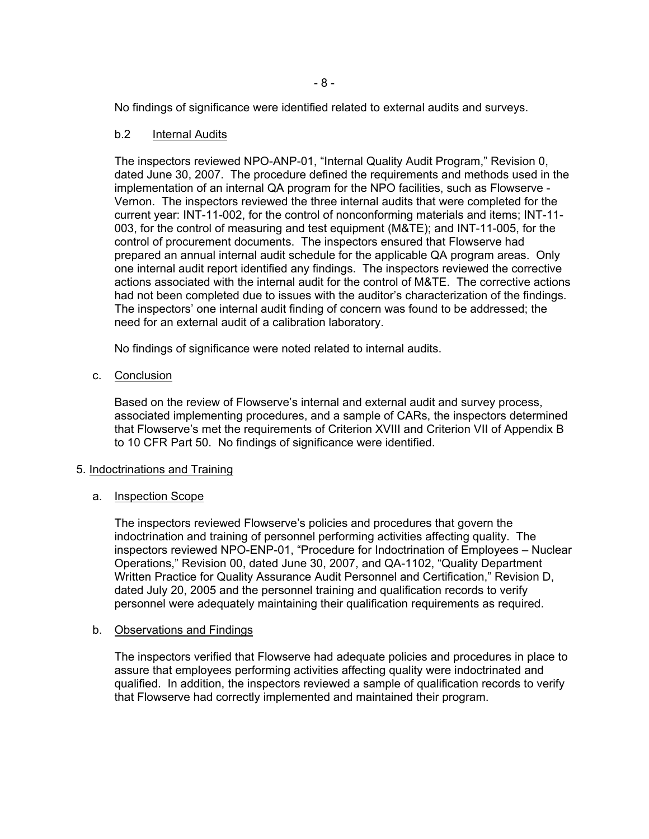No findings of significance were identified related to external audits and surveys.

#### b.2 Internal Audits

The inspectors reviewed NPO-ANP-01, "Internal Quality Audit Program," Revision 0, dated June 30, 2007. The procedure defined the requirements and methods used in the implementation of an internal QA program for the NPO facilities, such as Flowserve - Vernon. The inspectors reviewed the three internal audits that were completed for the current year: INT-11-002, for the control of nonconforming materials and items; INT-11- 003, for the control of measuring and test equipment (M&TE); and INT-11-005, for the control of procurement documents. The inspectors ensured that Flowserve had prepared an annual internal audit schedule for the applicable QA program areas. Only one internal audit report identified any findings. The inspectors reviewed the corrective actions associated with the internal audit for the control of M&TE. The corrective actions had not been completed due to issues with the auditor's characterization of the findings. The inspectors' one internal audit finding of concern was found to be addressed; the need for an external audit of a calibration laboratory.

No findings of significance were noted related to internal audits.

c. Conclusion

Based on the review of Flowserve's internal and external audit and survey process, associated implementing procedures, and a sample of CARs, the inspectors determined that Flowserve's met the requirements of Criterion XVIII and Criterion VII of Appendix B to 10 CFR Part 50. No findings of significance were identified.

#### 5. Indoctrinations and Training

#### a. Inspection Scope

The inspectors reviewed Flowserve's policies and procedures that govern the indoctrination and training of personnel performing activities affecting quality. The inspectors reviewed NPO-ENP-01, "Procedure for Indoctrination of Employees – Nuclear Operations," Revision 00, dated June 30, 2007, and QA-1102, "Quality Department Written Practice for Quality Assurance Audit Personnel and Certification," Revision D, dated July 20, 2005 and the personnel training and qualification records to verify personnel were adequately maintaining their qualification requirements as required.

#### b. Observations and Findings

The inspectors verified that Flowserve had adequate policies and procedures in place to assure that employees performing activities affecting quality were indoctrinated and qualified. In addition, the inspectors reviewed a sample of qualification records to verify that Flowserve had correctly implemented and maintained their program.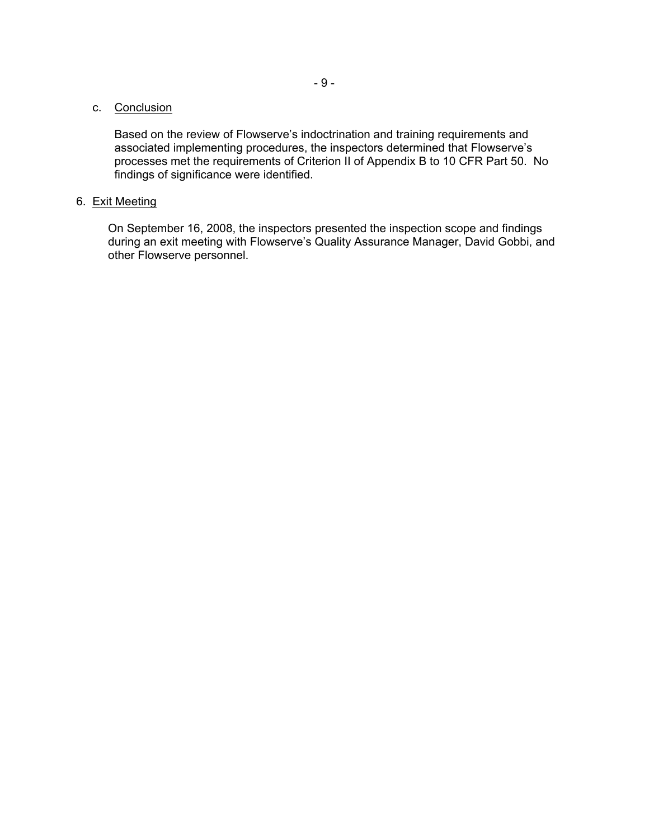# c. Conclusion

Based on the review of Flowserve's indoctrination and training requirements and associated implementing procedures, the inspectors determined that Flowserve's processes met the requirements of Criterion II of Appendix B to 10 CFR Part 50. No findings of significance were identified.

#### 6. Exit Meeting

On September 16, 2008, the inspectors presented the inspection scope and findings during an exit meeting with Flowserve's Quality Assurance Manager, David Gobbi, and other Flowserve personnel.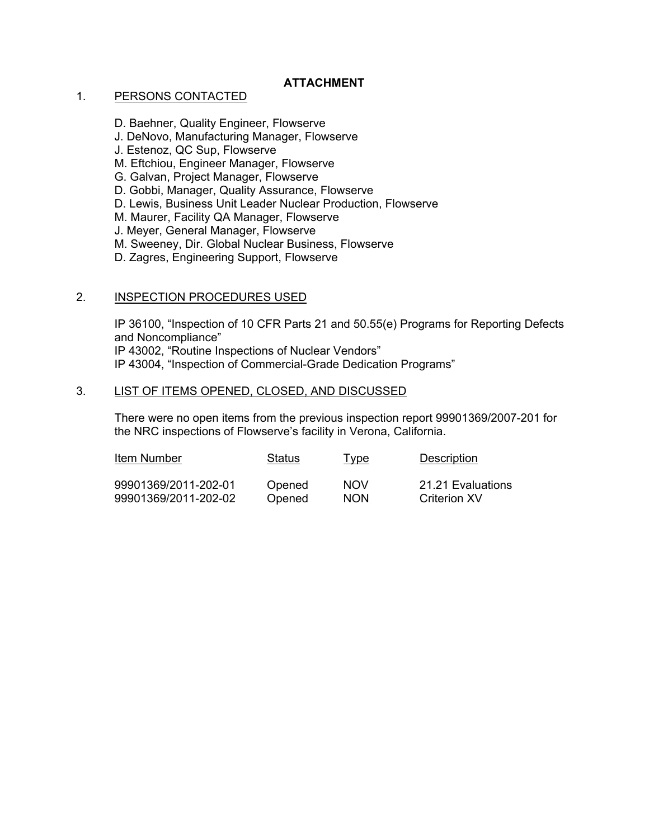# **ATTACHMENT**

#### 1. PERSONS CONTACTED

- D. Baehner, Quality Engineer, Flowserve
- J. DeNovo, Manufacturing Manager, Flowserve
- J. Estenoz, QC Sup, Flowserve
- M. Eftchiou, Engineer Manager, Flowserve
- G. Galvan, Project Manager, Flowserve
- D. Gobbi, Manager, Quality Assurance, Flowserve
- D. Lewis, Business Unit Leader Nuclear Production, Flowserve
- M. Maurer, Facility QA Manager, Flowserve
- J. Meyer, General Manager, Flowserve
- M. Sweeney, Dir. Global Nuclear Business, Flowserve
- D. Zagres, Engineering Support, Flowserve

# 2. INSPECTION PROCEDURES USED

IP 36100, "Inspection of 10 CFR Parts 21 and 50.55(e) Programs for Reporting Defects and Noncompliance" IP 43002, "Routine Inspections of Nuclear Vendors" IP 43004, "Inspection of Commercial-Grade Dedication Programs"

# 3. LIST OF ITEMS OPENED, CLOSED, AND DISCUSSED

There were no open items from the previous inspection report 99901369/2007-201 for the NRC inspections of Flowserve's facility in Verona, California.

| Item Number          | Status | <u>Type</u> | Description       |
|----------------------|--------|-------------|-------------------|
| 99901369/2011-202-01 | Opened | <b>NOV</b>  | 21.21 Evaluations |
| 99901369/2011-202-02 | Opened | <b>NON</b>  | Criterion XV      |